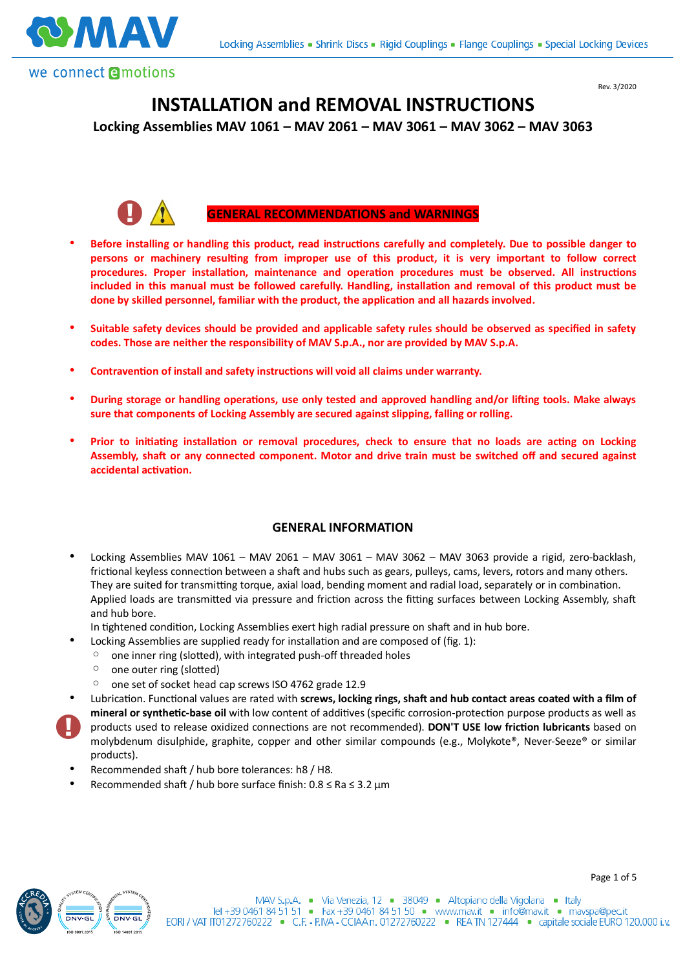

Rev. 3/2020

# **INSTALLATION and REMOVAL INSTRUCTIONS Locking Assemblies MAV 1061 – MAV 2061 – MAV 3061 – MAV 3062 – MAV 3063**



### **GENERAL RECOMMENDATIONS and WARNINGS**

- Before installing or handling this product, read instructions carefully and completely. Due to possible danger to persons or machinery resulting from improper use of this product, it is very important to follow correct procedures. Proper installation, maintenance and operation procedures must be observed. All instructions included in this manual must be followed carefully. Handling, installation and removal of this product must be done by skilled personnel, familiar with the product, the application and all hazards involved.
- **Suitable safety devices should be provided and applicable safety rules should be observed as specified in safety codes. Those are neither the responsibility of MAV S.p.A., nor are provided by MAV S.p.A.**
- Contravention of install and safety instructions will void all claims under warranty.
- **During storage or handling operations, use only tested and approved handling and/or lifting tools. Make always sure that components of Locking Assembly are secured against slipping, falling or rolling.**
- Prior to initiating installation or removal procedures, check to ensure that no loads are acting on Locking Assembly, shaft or any connected component. Motor and drive train must be switched off and secured against **accidental activation.**

#### **GENERAL INFORMATION**

- Locking Assemblies MAV 1061 MAV 2061 MAV 3061 MAV 3062 MAV 3063 provide a rigid, zero-backlash, frictional keyless connection between a shaft and hubs such as gears, pulleys, cams, levers, rotors and many others. They are suited for transmitting torque, axial load, bending moment and radial load, separately or in combination. Applied loads are transmitted via pressure and friction across the fitting surfaces between Locking Assembly, shaft and hub bore.
- In tightened condition, Locking Assemblies exert high radial pressure on shaft and in hub bore.
	- Locking Assemblies are supplied ready for installation and are composed of (fig. 1):
	- $\circ$  one inner ring (slotted), with integrated push-off threaded holes
	- one outer ring (slotted)
	- one set of socket head cap screws ISO 4762 grade 12.9
- Lubrication. Functional values are rated with screws, locking rings, shaft and hub contact areas coated with a film of mineral or synthetic-base oil with low content of additives (specific corrosion-protection purpose products as well as products used to release oxidized connections are not recommended). **DON'T USE low friction lubricants** based on molybdenum disulphide, graphite, copper and other similar compounds (e.g., Molykote®, Never-Seeze® or similar products).
- Recommended shaft / hub bore tolerances: h8 / H8.
- Recommended shaft / hub bore surface finish:  $0.8 \leq Ra \leq 3.2 \mu m$

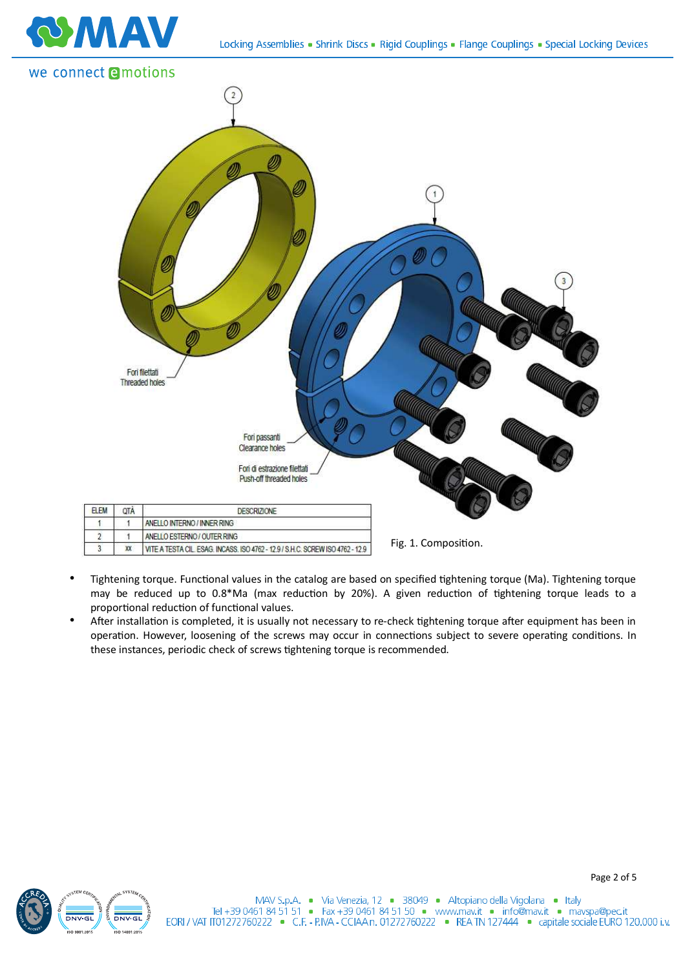

### we connect emotions



- Tightening torque. Functional values in the catalog are based on specified tightening torque (Ma). Tightening torque may be reduced up to  $0.8*$ Ma (max reduction by 20%). A given reduction of tightening torque leads to a proportional reduction of functional values.
- After installation is completed, it is usually not necessary to re-check tightening torque after equipment has been in operation. However, loosening of the screws may occur in connections subject to severe operating conditions. In these instances, periodic check of screws tightening torque is recommended.

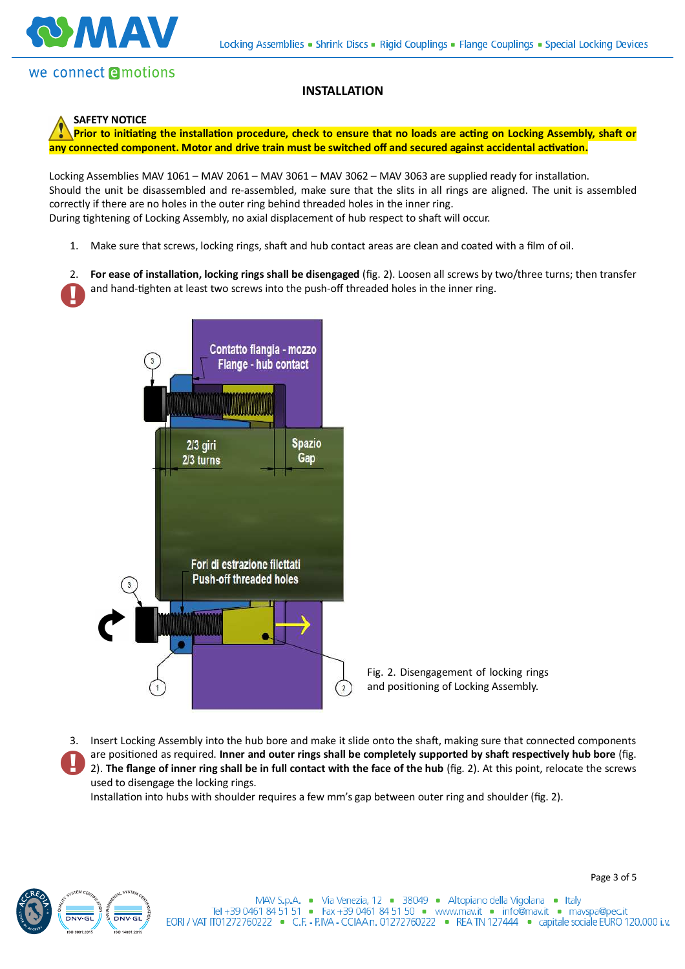

## we connect **Amotions**

#### **INSTALLATION**

#### **SAFETY NOTICE**

Prior to initiating the installation procedure, check to ensure that no loads are acting on Locking Assembly, shaft or any connected component. Motor and drive train must be switched off and secured against accidental activation.

Locking Assemblies MAV 1061 – MAV 2061 – MAV 3061 – MAV 3062 – MAV 3063 are supplied ready for installation. Should the unit be disassembled and re-assembled, make sure that the slits in all rings are aligned. The unit is assembled correctly if there are no holes in the outer ring behind threaded holes in the inner ring. During tightening of Locking Assembly, no axial displacement of hub respect to shaft will occur.

- 1. Make sure that screws, locking rings, shaft and hub contact areas are clean and coated with a film of oil.
- 2. **For ease of installation, locking rings shall be disengaged** (fig. 2). Loosen all screws by two/three turns; then transfer and hand-tighten at least two screws into the push-off threaded holes in the inner ring.



3. Insert Locking Assembly into the hub bore and make it slide onto the shaft, making sure that connected components are positioned as required. Inner and outer rings shall be completely supported by shaft respectively hub bore (fig. 2). **The flange of inner ring shall be in full contact with the face of the hub** (fig. 2). At this point, relocate the screws used to disengage the locking rings.

Installation into hubs with shoulder requires a few mm's gap between outer ring and shoulder (fig. 2).

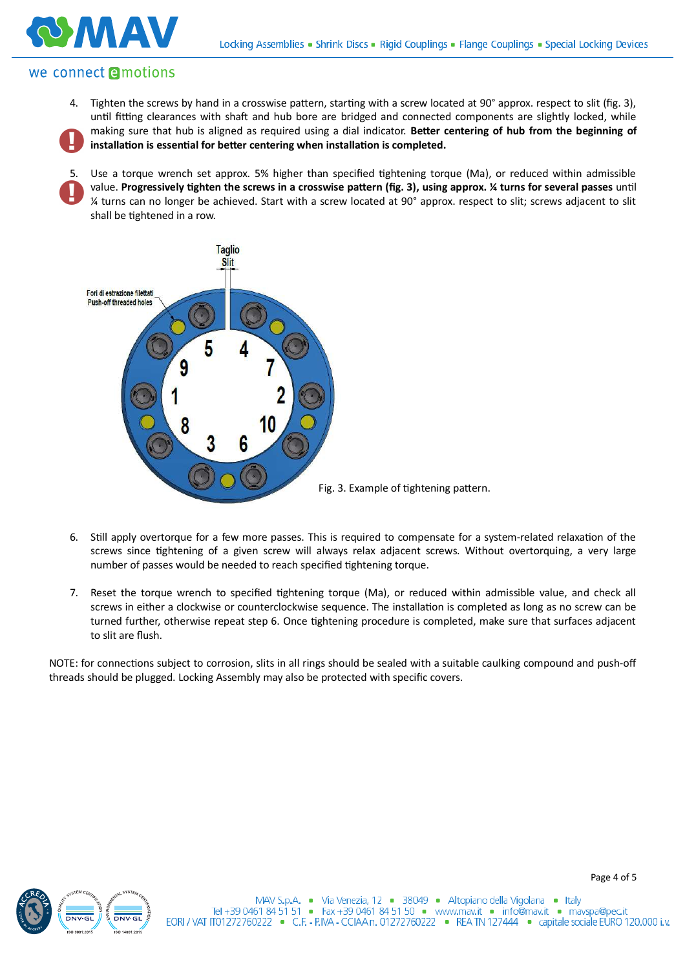

### we connect **e**motions

4. Tighten the screws by hand in a crosswise pattern, starting with a screw located at 90° approx. respect to slit (fig. 3), until fitting clearances with shaft and hub bore are bridged and connected components are slightly locked, while making sure that hub is aligned as required using a dial indicator. Better centering of hub from the beginning of installation is essential for better centering when installation is completed.

5. Use a torque wrench set approx. 5% higher than specified tightening torque (Ma), or reduced within admissible value. Progressively tighten the screws in a crosswise pattern (fig. 3), using approx. *¼* turns for several passes until ¼ turns can no longer be achieved. Start with a screw located at 90° approx. respect to slit; screws adjacent to slit shall be tightened in a row.



- 6. Still apply overtorque for a few more passes. This is required to compensate for a system-related relaxation of the screws since tightening of a given screw will always relax adjacent screws. Without overtorquing, a very large number of passes would be needed to reach specified tightening torque.
- 7. Reset the torque wrench to specified tightening torque (Ma), or reduced within admissible value, and check all screws in either a clockwise or counterclockwise sequence. The installation is completed as long as no screw can be turned further, otherwise repeat step 6. Once tightening procedure is completed, make sure that surfaces adjacent to slit are flush.

NOTE: for connections subject to corrosion, slits in all rings should be sealed with a suitable caulking compound and push-off threads should be plugged. Locking Assembly may also be protected with specific covers.